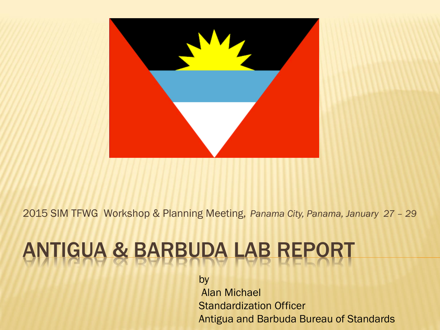

2015 SIM TFWG Workshop & Planning Meeting, *Panama City, Panama, January 27 – 29*

## ANTIGUA & BARBUDA LAB REPO

by

Alan Michael Standardization Officer Antigua and Barbuda Bureau of Standards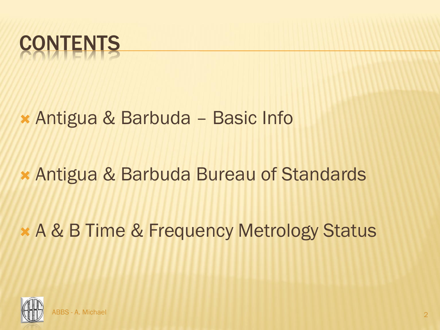

### Antigua & Barbuda – Basic Info

### Antigua & Barbuda Bureau of Standards

## A & B Time & Frequency Metrology Status

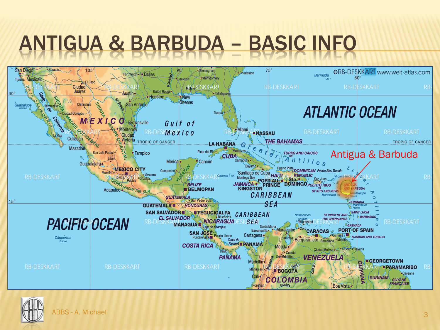## ANTIGUA & BARBUDA – BASIC INFO



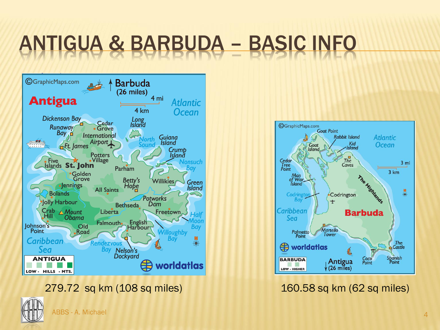## ANTIGUA & BARBUDA – BASIC INFO



279.72 sq km (108 sq miles) 160.58 sq km (62 sq miles)



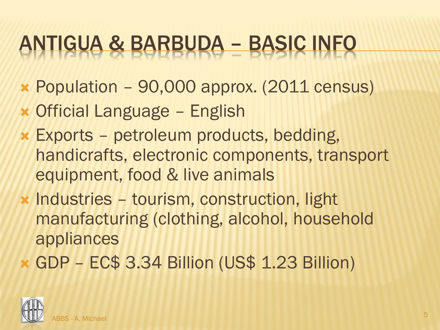## ANTIGUA & BARBUDA – BASIC INFO

- Population 90,000 approx. (2011 census)
- Official Language English
- Exports petroleum products, bedding, handicrafts, electronic components, transport equipment, food & live animals
- \* Industries tourism, construction, light manufacturing (clothing, alcohol, household appliances
- GDP EC\$ 3.34 Billion (US\$ 1.23 Billion)

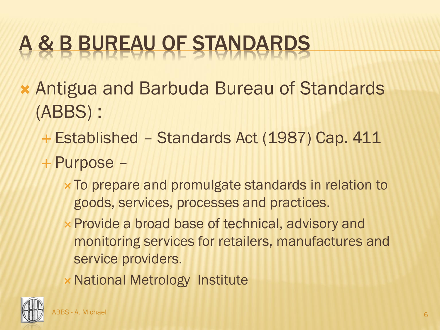- Antigua and Barbuda Bureau of Standards (ABBS) :
	- Established Standards Act (1987) Cap. 411
	- Purpose
		- To prepare and promulgate standards in relation to goods, services, processes and practices.
		- **x Provide a broad base of technical, advisory and** monitoring services for retailers, manufactures and service providers.
		- **× National Metrology Institute**

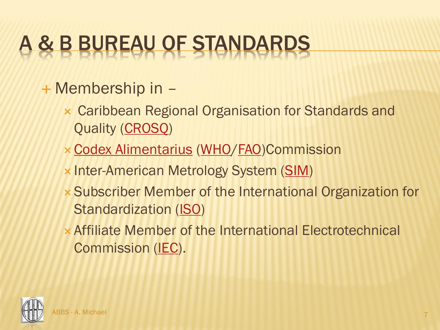#### + Membership in -

- Caribbean Regional Organisation for Standards and Quality ([CROSQ\)](http://www.crosq.org/)
- [Codex Alimentarius](http://www.codexalimentarius.net/web/index_en.jsp) [\(WHO](http://www.who.int/en/)[/FAO\)](http://www.fao.org/)Commission
- **x Inter-American Metrology System ([SIM\)](http://www.sim-metrologia.org.br/)**
- Subscriber Member of the International Organization for Standardization ([ISO\)](http://www.iso.org/iso/en/ISOOnline.frontpage)
- Affiliate Member of the International Electrotechnical Commission [\(IEC\)](http://www.iec.ch/).

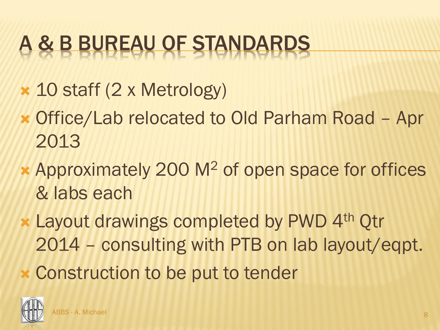- 10 staff (2 x Metrology)
- Office/Lab relocated to Old Parham Road Apr 2013
- Approximately 200 M<sup>2</sup> of open space for offices & labs each
- **x Layout drawings completed by PWD 4th Otr** 2014 – consulting with PTB on lab layout/eqpt.
- Construction to be put to tender

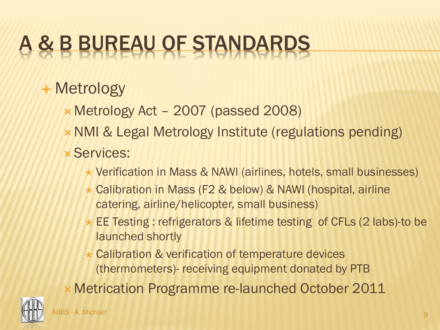### Metrology

- Metrology Act 2007 (passed 2008)
- **× NMI & Legal Metrology Institute (regulations pending)**
- **x Services:** 
	- Verification in Mass & NAWI (airlines, hotels, small businesses)
	- Calibration in Mass (F2 & below) & NAWI (hospital, airline catering, airline/helicopter, small business)
	- EE Testing : refrigerators & lifetime testing of CFLs (2 labs)-to be launched shortly
	- \* Calibration & verification of temperature devices (thermometers)- receiving equipment donated by PTB
- Metrication Programme re-launched October 2011

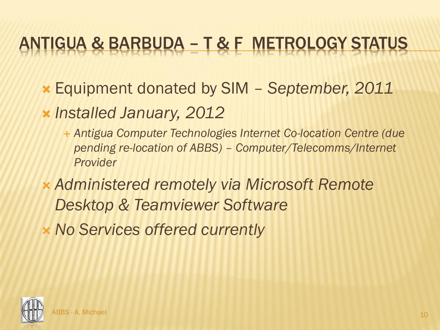## ANTIGUA & BARBUDA – T & F METROLOGY STATUS

- Equipment donated by SIM *September, 2011*
- *Installed January, 2012*
	- *Antigua Computer Technologies Internet Co-location Centre (due pending re-location of ABBS) – Computer/Telecomms/Internet Provider*
- *Administered remotely via Microsoft Remote Desktop & Teamviewer Software*
- *No Services offered currently*

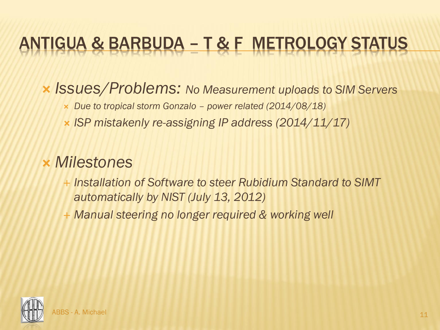## ANTIGUA & BARBUDA – T & F METROLOGY STATUS

#### *Issues/Problems: No Measurement uploads to SIM Servers*

- *Due to tropical storm Gonzalo – power related (2014/08/18)*
- *ISP mistakenly re-assigning IP address (2014/11/17)*

#### *Milestones*

- *Installation of Software to steer Rubidium Standard to SIMT automatically by NIST (July 13, 2012)*
- *Manual steering no longer required & working well*

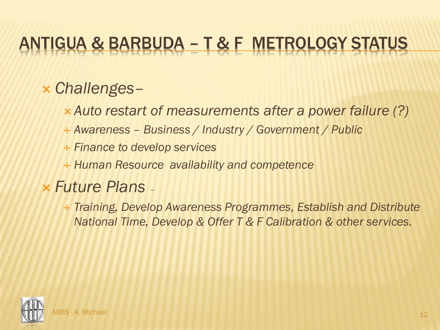## ANTIGUA & BARBUDA – T & F METROLOGY STATUS

#### *Challenges–*

- *Auto restart of measurements after a power failure (?)*
- *Awareness – Business / Industry / Government / Public*
- *Finance to develop services*
- *Human Resource availability and competence*

#### *Future Plans –*

 *Training, Develop Awareness Programmes, Establish and Distribute National Time, Develop & Offer T & F Calibration & other services.*